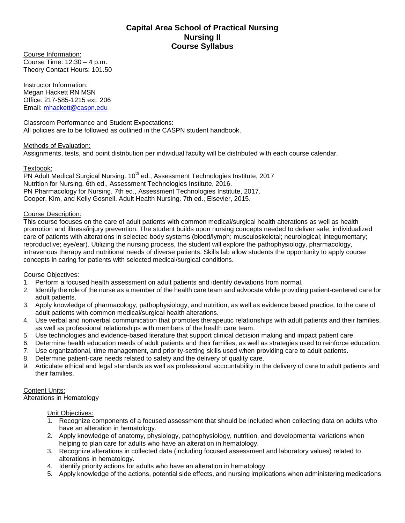## **Capital Area School of Practical Nursing Nursing II Course Syllabus**

Course Information: Course Time: 12:30 – 4 p.m. Theory Contact Hours: 101.50

Instructor Information: Megan Hackett RN MSN Office: 217-585-1215 ext. 206 Email: [mhackett@caspn.edu](mailto:mhackett@caspn.edu)

Classroom Performance and Student Expectations: All policies are to be followed as outlined in the CASPN student handbook.

## Methods of Evaluation:

Assignments, tests, and point distribution per individual faculty will be distributed with each course calendar.

## Textbook:

PN Adult Medical Surgical Nursing. 10<sup>th</sup> ed., Assessment Technologies Institute, 2017 Nutrition for Nursing. 6th ed., Assessment Technologies Institute, 2016. PN Pharmacology for Nursing. 7th ed., Assessment Technologies Institute, 2017. Cooper, Kim, and Kelly Gosnell. Adult Health Nursing. 7th ed., Elsevier, 2015.

## Course Description:

This course focuses on the care of adult patients with common medical/surgical health alterations as well as health promotion and illness/injury prevention. The student builds upon nursing concepts needed to deliver safe, individualized care of patients with alterations in selected body systems (blood/lymph; musculoskeletal; neurological; integumentary; reproductive; eye/ear). Utilizing the nursing process, the student will explore the pathophysiology, pharmacology, intravenous therapy and nutritional needs of diverse patients. Skills lab allow students the opportunity to apply course concepts in caring for patients with selected medical/surgical conditions.

#### Course Objectives:

- 1. Perform a focused health assessment on adult patients and identify deviations from normal.
- 2. Identify the role of the nurse as a member of the health care team and advocate while providing patient-centered care for adult patients.
- 3. Apply knowledge of pharmacology, pathophysiology, and nutrition, as well as evidence based practice, to the care of adult patients with common medical/surgical health alterations.
- 4. Use verbal and nonverbal communication that promotes therapeutic relationships with adult patients and their families, as well as professional relationships with members of the health care team.
- 5. Use technologies and evidence-based literature that support clinical decision making and impact patient care.
- 6. Determine health education needs of adult patients and their families, as well as strategies used to reinforce education.
- 7. Use organizational, time management, and priority-setting skills used when providing care to adult patients.
- 8. Determine patient-care needs related to safety and the delivery of quality care.
- 9. Articulate ethical and legal standards as well as professional accountability in the delivery of care to adult patients and their families.

#### Content Units:

Alterations in Hematology

Unit Objectives:

- 1. Recognize components of a focused assessment that should be included when collecting data on adults who have an alteration in hematology.
- 2. Apply knowledge of anatomy, physiology, pathophysiology, nutrition, and developmental variations when helping to plan care for adults who have an alteration in hematology.
- 3. Recognize alterations in collected data (including focused assessment and laboratory values) related to alterations in hematology.
- 4. Identify priority actions for adults who have an alteration in hematology.
- 5. Apply knowledge of the actions, potential side effects, and nursing implications when administering medications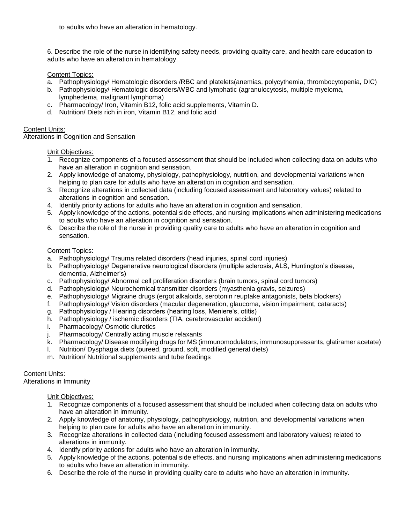to adults who have an alteration in hematology.

6. Describe the role of the nurse in identifying safety needs, providing quality care, and health care education to adults who have an alteration in hematology.

Content Topics:

- a. Pathophysiology/ Hematologic disorders /RBC and platelets(anemias, polycythemia, thrombocytopenia, DIC)
- b. Pathophysiology/ Hematologic disorders/WBC and lymphatic (agranulocytosis, multiple myeloma, lymphedema, malignant lymphoma)
- c. Pharmacology/ Iron, Vitamin B12, folic acid supplements, Vitamin D.
- d. Nutrition/ Diets rich in iron, Vitamin B12, and folic acid

## Content Units:

Alterations in Cognition and Sensation

Unit Objectives:

- 1. Recognize components of a focused assessment that should be included when collecting data on adults who have an alteration in cognition and sensation.
- 2. Apply knowledge of anatomy, physiology, pathophysiology, nutrition, and developmental variations when helping to plan care for adults who have an alteration in cognition and sensation.
- 3. Recognize alterations in collected data (including focused assessment and laboratory values) related to alterations in cognition and sensation.
- 4. Identify priority actions for adults who have an alteration in cognition and sensation.
- 5. Apply knowledge of the actions, potential side effects, and nursing implications when administering medications to adults who have an alteration in cognition and sensation.
- 6. Describe the role of the nurse in providing quality care to adults who have an alteration in cognition and sensation.

## Content Topics:

- a. Pathophysiology/ Trauma related disorders (head injuries, spinal cord injuries)
- b. Pathophysiology/ Degenerative neurological disorders (multiple sclerosis, ALS, Huntington's disease, dementia, Alzheimer's)
- c. Pathophysiology/ Abnormal cell proliferation disorders (brain tumors, spinal cord tumors)
- d. Pathophysiology/ Neurochemical transmitter disorders (myasthenia gravis, seizures)
- e. Pathophysiology/ Migraine drugs (ergot alkaloids, serotonin reuptake antagonists, beta blockers)
- f. Pathophysiology/ Vision disorders (macular degeneration, glaucoma, vision impairment, cataracts)
- g. Pathophysiology / Hearing disorders (hearing loss, Meniere's, otitis)
- h. Pathophysiology / ischemic disorders (TIA, cerebrovascular accident)
- i. Pharmacology/ Osmotic diuretics
- j. Pharmacology/ Centrally acting muscle relaxants
- k. Pharmacology/ Disease modifying drugs for MS (immunomodulators, immunosuppressants, glatiramer acetate)
- l. Nutrition/ Dysphagia diets (pureed, ground, soft, modified general diets)
- m. Nutrition/ Nutritional supplements and tube feedings

## Content Units:

Alterations in Immunity

#### Unit Objectives:

- 1. Recognize components of a focused assessment that should be included when collecting data on adults who have an alteration in immunity.
- 2. Apply knowledge of anatomy, physiology, pathophysiology, nutrition, and developmental variations when helping to plan care for adults who have an alteration in immunity.
- 3. Recognize alterations in collected data (including focused assessment and laboratory values) related to alterations in immunity.
- 4. Identify priority actions for adults who have an alteration in immunity.
- 5. Apply knowledge of the actions, potential side effects, and nursing implications when administering medications to adults who have an alteration in immunity.
- 6. Describe the role of the nurse in providing quality care to adults who have an alteration in immunity.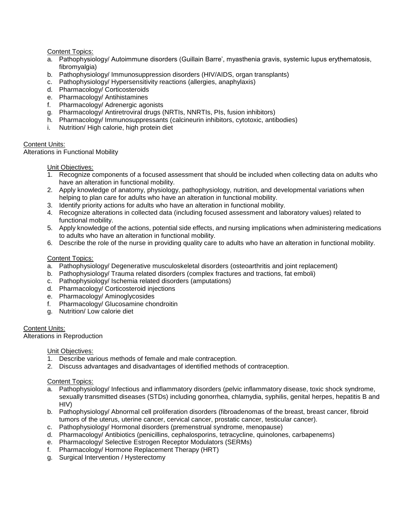Content Topics:

- a. Pathophysiology/ Autoimmune disorders (Guillain Barre', myasthenia gravis, systemic lupus erythematosis, fibromyalgia)
- b. Pathophysiology/ Immunosuppression disorders (HIV/AIDS, organ transplants)
- c. Pathophysiology/ Hypersensitivity reactions (allergies, anaphylaxis)
- d. Pharmacology/ Corticosteroids
- e. Pharmacology/ Antihistamines
- f. Pharmacology/ Adrenergic agonists
- g. Pharmacology/ Antiretroviral drugs (NRTIs, NNRTIs, PIs, fusion inhibitors)
- h. Pharmacology/ Immunosuppressants (calcineurin inhibitors, cytotoxic, antibodies)
- i. Nutrition/ High calorie, high protein diet

## Content Units:

Alterations in Functional Mobility

Unit Objectives:

- 1. Recognize components of a focused assessment that should be included when collecting data on adults who have an alteration in functional mobility.
- 2. Apply knowledge of anatomy, physiology, pathophysiology, nutrition, and developmental variations when helping to plan care for adults who have an alteration in functional mobility.
- 3. Identify priority actions for adults who have an alteration in functional mobility.
- 4. Recognize alterations in collected data (including focused assessment and laboratory values) related to functional mobility.
- 5. Apply knowledge of the actions, potential side effects, and nursing implications when administering medications to adults who have an alteration in functional mobility.
- 6. Describe the role of the nurse in providing quality care to adults who have an alteration in functional mobility.

## Content Topics:

- a. Pathophysiology/ Degenerative musculoskeletal disorders (osteoarthritis and joint replacement)
- b. Pathophysiology/ Trauma related disorders (complex fractures and tractions, fat emboli)
- c. Pathophysiology/ Ischemia related disorders (amputations)
- d. Pharmacology/ Corticosteroid injections
- e. Pharmacology/ Aminoglycosides
- f. Pharmacology/ Glucosamine chondroitin
- g. Nutrition/ Low calorie diet

Content Units:

Alterations in Reproduction

Unit Objectives:

- 1. Describe various methods of female and male contraception.
- 2. Discuss advantages and disadvantages of identified methods of contraception.

Content Topics:

- a. Pathophysiology/ Infectious and inflammatory disorders (pelvic inflammatory disease, toxic shock syndrome, sexually transmitted diseases (STDs) including gonorrhea, chlamydia, syphilis, genital herpes, hepatitis B and HIV)
- b. Pathophysiology/ Abnormal cell proliferation disorders (fibroadenomas of the breast, breast cancer, fibroid tumors of the uterus, uterine cancer, cervical cancer, prostatic cancer, testicular cancer).
- c. Pathophysiology/ Hormonal disorders (premenstrual syndrome, menopause)
- d. Pharmacology/ Antibiotics (penicillins, cephalosporins, tetracycline, quinolones, carbapenems)
- e. Pharmacology/ Selective Estrogen Receptor Modulators (SERMs)
- f. Pharmacology/ Hormone Replacement Therapy (HRT)
- g. Surgical Intervention / Hysterectomy